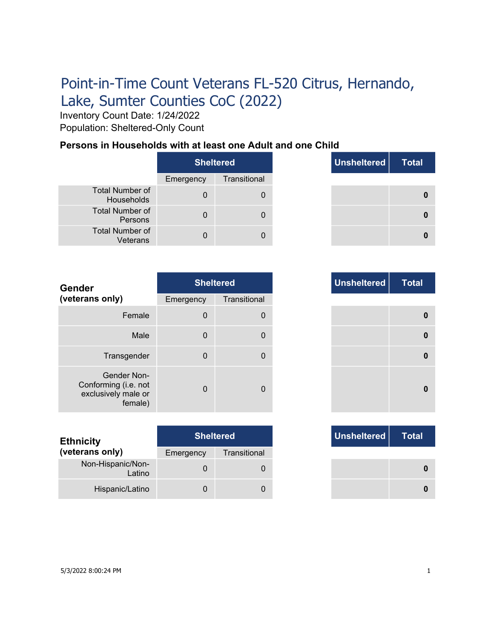# Point-in-Time Count Veterans FL-520 Citrus, Hernando, Lake, Sumter Counties CoC (2022)

Inventory Count Date: 1/24/2022 Population: Sheltered-Only Count

### **Persons in Households with at least one Adult and one Child**

|                                      | <b>Sheltered</b> |              |
|--------------------------------------|------------------|--------------|
|                                      | Emergency        | Transitional |
| <b>Total Number of</b><br>Households |                  |              |
| <b>Total Number of</b><br>Persons    |                  |              |
| <b>Total Number of</b><br>Veterans   |                  |              |

|              | <b>Sheltered</b> | Unsheltered | <b>Total</b> |
|--------------|------------------|-------------|--------------|
| าcy          | Transitional     |             |              |
| $\mathbf{0}$ | 0                |             |              |
| 0            | $\Omega$         |             |              |
| n            | $\Box$           |             |              |

| <b>Gender</b>                                                         |              | <b>Sheltered</b> | <b>Unsheltered</b> |
|-----------------------------------------------------------------------|--------------|------------------|--------------------|
| (veterans only)                                                       | Emergency    | Transitional     |                    |
| Female                                                                | $\mathbf 0$  | 0                |                    |
| Male                                                                  | $\mathbf 0$  | 0                |                    |
| Transgender                                                           | $\mathbf 0$  | 0                |                    |
| Gender Non-<br>Conforming (i.e. not<br>exclusively male or<br>female) | $\mathbf{0}$ | 0                |                    |

| <b>Ethnicity</b>            |           | <b>Sheltered</b> |
|-----------------------------|-----------|------------------|
| (veterans only)             | Emergency | Transitional     |
| Non-Hispanic/Non-<br>Latino | 0         |                  |
| Hispanic/Latino             | 0         |                  |

| Transitional<br>าcy<br>$\mathbf 0$ |
|------------------------------------|
| $\Omega$                           |
|                                    |
| $\Omega$<br>0                      |
| $\Omega$<br>$\mathbf 0$            |
| $\Omega$<br>$\mathbf{0}$           |

|     | <b>Sheltered</b> |
|-----|------------------|
| ٦CV | Transitional     |
| 0   |                  |
|     |                  |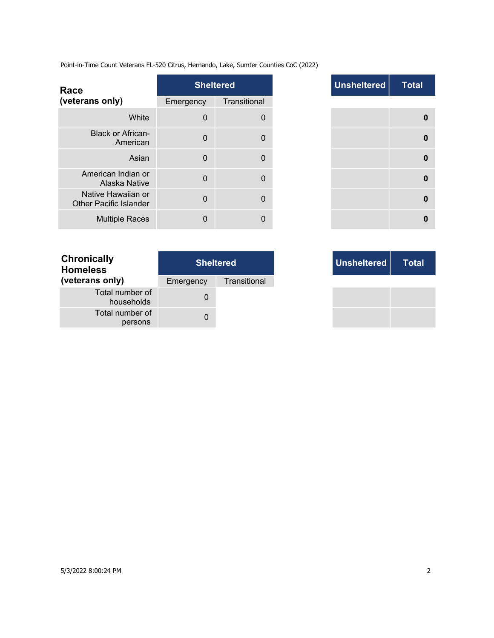Point-in-Time Count Veterans FL-520 Citrus, Hernando, Lake, Sumter Counties CoC (2022)

| Race                                                |             | <b>Sheltered</b> |
|-----------------------------------------------------|-------------|------------------|
| (veterans only)                                     | Emergency   | Transitional     |
| White                                               | $\mathbf 0$ | 0                |
| <b>Black or African-</b><br>American                | $\Omega$    | 0                |
| Asian                                               | $\Omega$    | 0                |
| American Indian or<br>Alaska Native                 | $\Omega$    | 0                |
| Native Hawaiian or<br><b>Other Pacific Islander</b> | $\Omega$    | $\Omega$         |
| <b>Multiple Races</b>                               | $\Omega$    | 0                |

|              | <b>Sheltered</b> | <b>Unsheltered</b> | <b>Total</b> |
|--------------|------------------|--------------------|--------------|
| าcy          | Transitional     |                    |              |
| $\mathbf 0$  | 0                |                    | 0            |
| $\Omega$     | 0                |                    | $\bf{0}$     |
| $\mathbf{0}$ | $\mathbf{0}$     |                    | $\mathbf 0$  |
| 0            | $\mathbf{0}$     |                    | $\mathbf 0$  |
| 0            | 0                |                    | $\bf{0}$     |
| $\Omega$     | 0                |                    | 0            |

| <b>Chronically</b><br><b>Homeless</b> | <b>Sheltered</b> |              |  |
|---------------------------------------|------------------|--------------|--|
| (veterans only)                       | Emergency        | Transitional |  |
| Total number of<br>households         |                  |              |  |
| Total number of<br>persons            |                  |              |  |

|     | <b>Sheltered</b> |
|-----|------------------|
| ٦cγ | Transitional     |
| 0   |                  |
|     |                  |

and the con-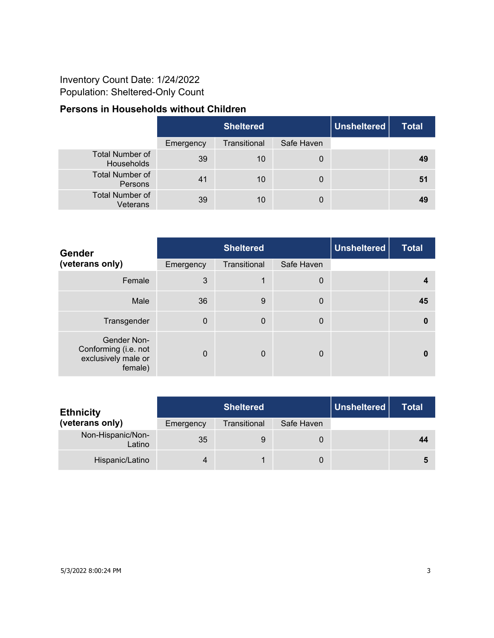## Inventory Count Date: 1/24/2022 Population: Sheltered-Only Count

## **Persons in Households without Children**

|                                      | <b>Sheltered</b> |              |            | Unsheltered | <b>Total</b> |
|--------------------------------------|------------------|--------------|------------|-------------|--------------|
|                                      | Emergency        | Transitional | Safe Haven |             |              |
| <b>Total Number of</b><br>Households | 39               | 10           | 0          |             | 49           |
| <b>Total Number of</b><br>Persons    | 41               | 10           | 0          |             | -51          |
| <b>Total Number of</b><br>Veterans   | 39               | 10           | 0          |             | 49           |

| <b>Gender</b>                                                         |           | <b>Sheltered</b> |            |  | <b>Total</b> |
|-----------------------------------------------------------------------|-----------|------------------|------------|--|--------------|
| (veterans only)                                                       | Emergency | Transitional     | Safe Haven |  |              |
| Female                                                                | 3         |                  | 0          |  | 4            |
| Male                                                                  | 36        | 9                | 0          |  | 45           |
| Transgender                                                           | $\Omega$  | $\mathbf 0$      | 0          |  | 0            |
| Gender Non-<br>Conforming (i.e. not<br>exclusively male or<br>female) | $\Omega$  | $\mathbf 0$      | 0          |  |              |

| <b>Ethnicity</b>            |           | <b>Sheltered</b> | Unsheltered | <b>Total</b> |    |
|-----------------------------|-----------|------------------|-------------|--------------|----|
| (veterans only)             | Emergency | Transitional     | Safe Haven  |              |    |
| Non-Hispanic/Non-<br>Latino | 35        | 9                | 0           |              | 44 |
| Hispanic/Latino             |           |                  | 0           |              |    |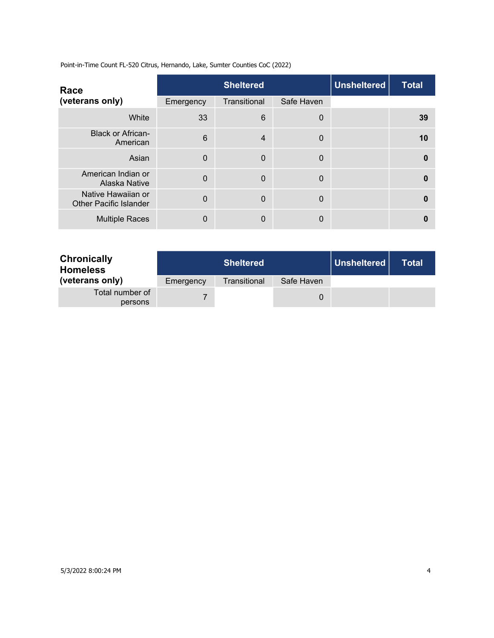Point-in-Time Count FL-520 Citrus, Hernando, Lake, Sumter Counties CoC (2022)

| Race                                                |           | <b>Sheltered</b> |             |  | Unsheltered<br><b>Total</b> |
|-----------------------------------------------------|-----------|------------------|-------------|--|-----------------------------|
| (veterans only)                                     | Emergency | Transitional     | Safe Haven  |  |                             |
| White                                               | 33        | 6                | 0           |  | 39                          |
| <b>Black or African-</b><br>American                | 6         | $\overline{4}$   | $\mathbf 0$ |  | 10                          |
| Asian                                               | $\Omega$  | $\Omega$         | $\mathbf 0$ |  | 0                           |
| American Indian or<br>Alaska Native                 | $\Omega$  | $\Omega$         | $\mathbf 0$ |  | 0                           |
| Native Hawaiian or<br><b>Other Pacific Islander</b> | $\Omega$  | $\Omega$         | $\mathbf 0$ |  | 0                           |
| <b>Multiple Races</b>                               | 0         | 0                | 0           |  | O                           |

| <b>Chronically</b><br><b>Homeless</b> |           | <b>Sheltered</b> |            | Unsheltered | Total |
|---------------------------------------|-----------|------------------|------------|-------------|-------|
| (veterans only)                       | Emergency | Transitional     | Safe Haven |             |       |
| Total number of<br>persons            |           |                  | 0          |             |       |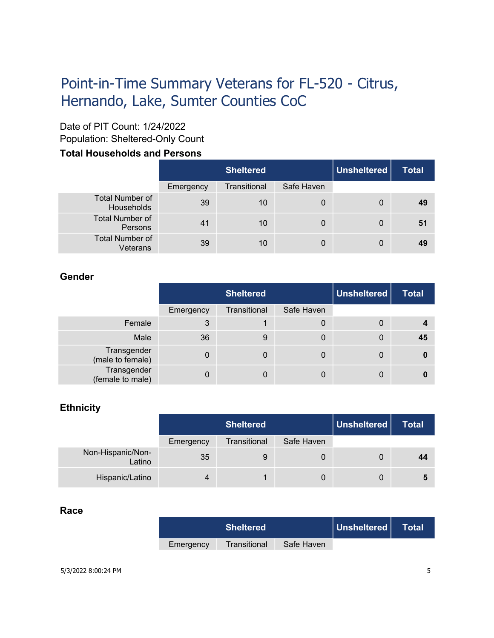# Point-in-Time Summary Veterans for FL-520 - Citrus, Hernando, Lake, Sumter Counties CoC

# Date of PIT Count: 1/24/2022

Population: Sheltered-Only Count

## **Total Households and Persons**

|                                      |           | <b>Sheltered</b> |            | Unsheltered | <b>Total</b> |
|--------------------------------------|-----------|------------------|------------|-------------|--------------|
|                                      | Emergency | Transitional     | Safe Haven |             |              |
| <b>Total Number of</b><br>Households | 39        | 10               | 0          | 0           | 49           |
| <b>Total Number of</b><br>Persons    | 41        | 10               | 0          | 0           | 51           |
| <b>Total Number of</b><br>Veterans   | 39        | 10               | 0          | 0           | 49           |

### **Gender**

|                                 | <b>Sheltered</b> |              |            | Unsheltered | <b>Total</b> |
|---------------------------------|------------------|--------------|------------|-------------|--------------|
|                                 | Emergency        | Transitional | Safe Haven |             |              |
| Female                          | 3                |              | 0          | 0           |              |
| Male                            | 36               | 9            | 0          | 0           | 45           |
| Transgender<br>(male to female) | 0                | 0            | 0          | 0           | 0            |
| Transgender<br>(female to male) |                  | 0            | 0          | 0           |              |

### **Ethnicity**

|                             | <b>Sheltered</b> |              |            | Unsheltered | <b>Total</b> |
|-----------------------------|------------------|--------------|------------|-------------|--------------|
|                             | Emergency        | Transitional | Safe Haven |             |              |
| Non-Hispanic/Non-<br>Latino | 35               | 9            |            | 0           | 44           |
| Hispanic/Latino             |                  |              | 0          | 0           | 5            |

#### **Race**

| <b>Sheltered</b> |              | Unsheltered | Total |  |
|------------------|--------------|-------------|-------|--|
| Emergency        | Transitional | Safe Haven  |       |  |